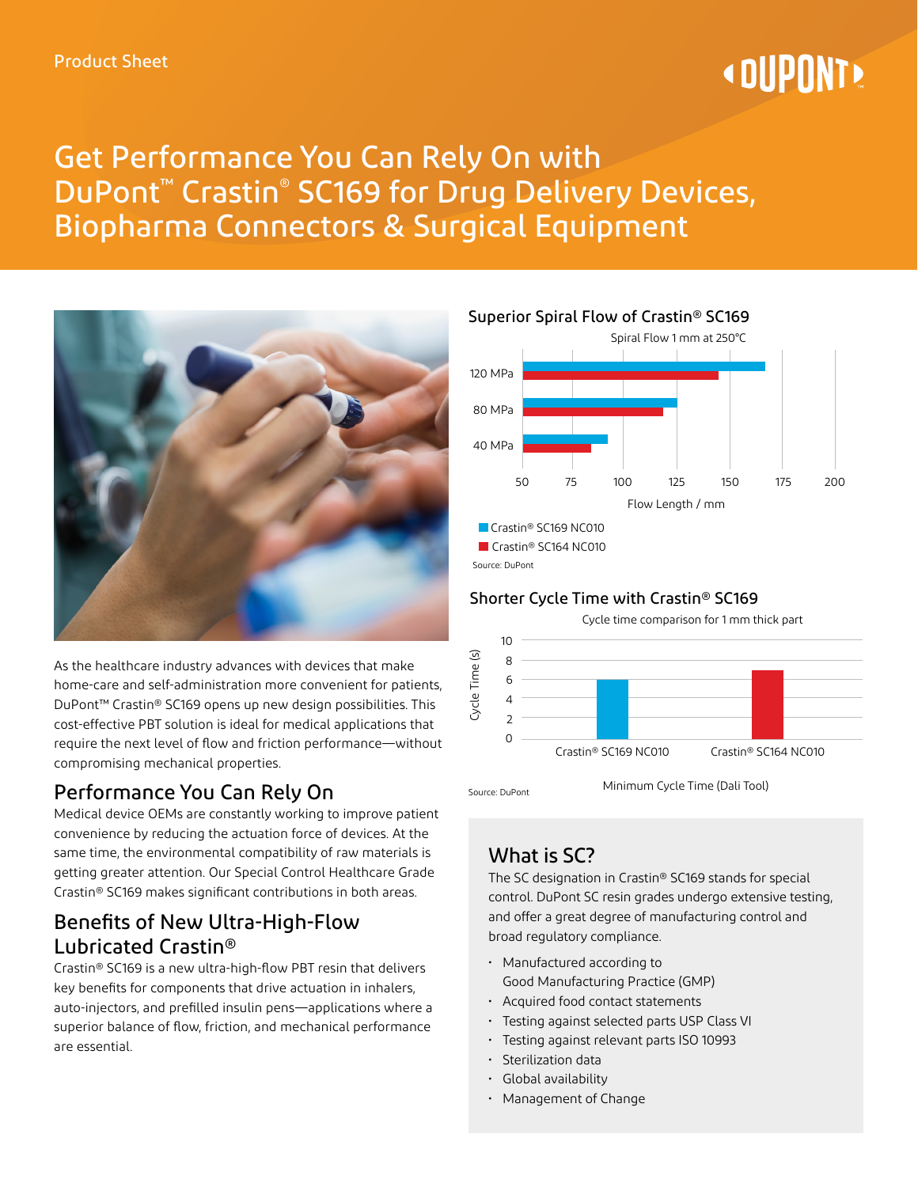# **« DUPONT**

## Get Performance You Can Rely On with DuPont™ Crastin® SC169 for Drug Delivery Devices, Biopharma Connectors & Surgical Equipment



As the healthcare industry advances with devices that make home-care and self-administration more convenient for patients, DuPont™ Crastin® SC169 opens up new design possibilities. This cost-effective PBT solution is ideal for medical applications that require the next level of flow and friction performance—without compromising mechanical properties.

## Performance You Can Rely On

Medical device OEMs are constantly working to improve patient convenience by reducing the actuation force of devices. At the same time, the environmental compatibility of raw materials is getting greater attention. Our Special Control Healthcare Grade Crastin® SC169 makes significant contributions in both areas.

## Benefits of New Ultra-High-Flow Lubricated Crastin®

Crastin® SC169 is a new ultra-high-flow PBT resin that delivers key benefits for components that drive actuation in inhalers, auto-injectors, and prefilled insulin pens—applications where a superior balance of flow, friction, and mechanical performance are essential.



Source: DuPont

#### Shorter Cycle Time with Crastin® SC169



## What is SC?

The SC designation in Crastin® SC169 stands for special control. DuPont SC resin grades undergo extensive testing, and offer a great degree of manufacturing control and broad regulatory compliance.

- Manufactured according to Good Manufacturing Practice (GMP)
- Acquired food contact statements
- Testing against selected parts USP Class VI
- Testing against relevant parts ISO 10993
- Sterilization data
- Global availability
- Management of Change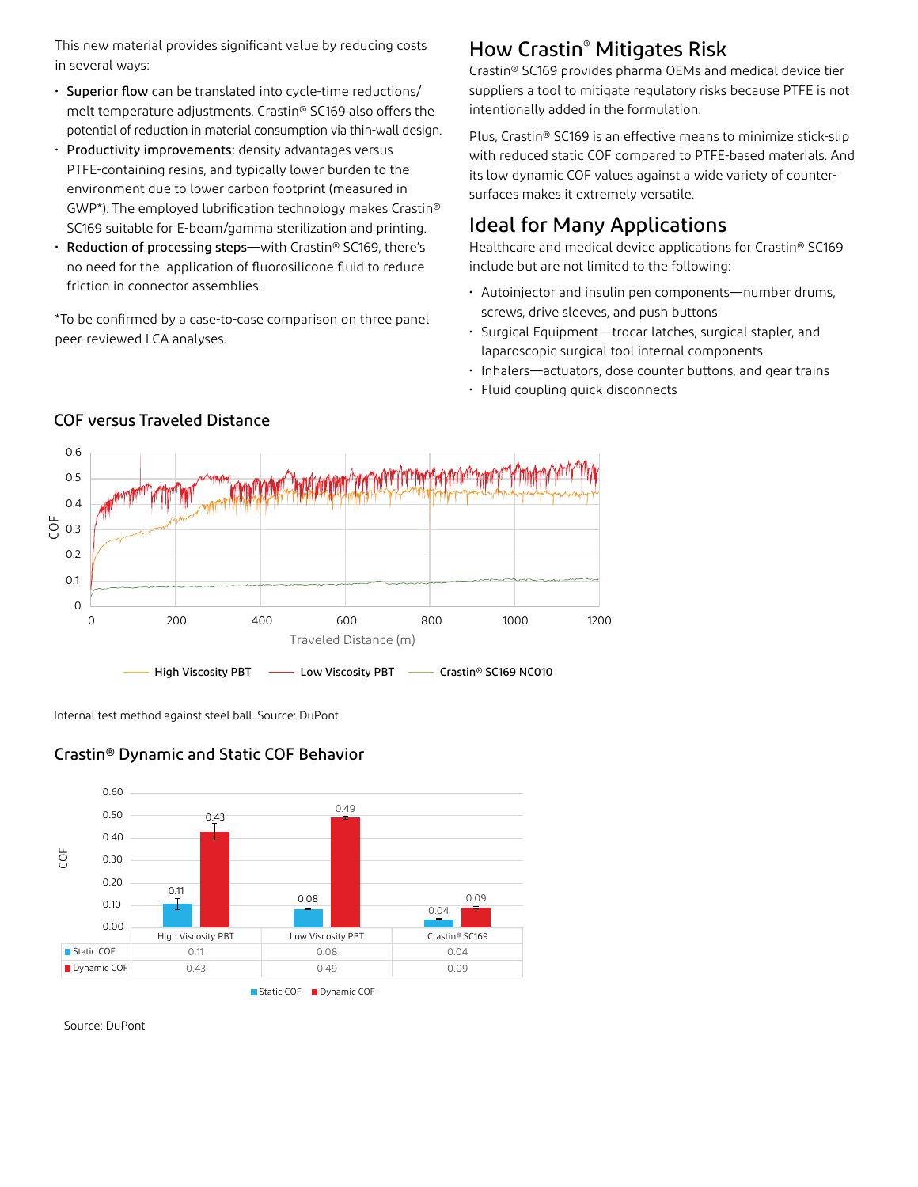This new material provides significant value by reducing costs in several ways:

- Superior flow can be translated into cycle-time reductions/ melt temperature adjustments. Crastin® SC169 also offers the potential of reduction in material consumption via thin-wall design.
- Productivity improvements: density advantages versus PTFE-containing resins, and typically lower burden to the environment due to lower carbon footprint (measured in GWP\*). The employed lubrification technology makes Crastin® SC169 suitable for E-beam/gamma sterilization and printing.
- Reduction of processing steps—with Crastin® SC169, there's no need for the application of fluorosilicone fluid to reduce friction in connector assemblies.

\*To be confirmed by a case-to-case comparison on three panel peer-reviewed LCA analyses.

## How Crastin® Mitigates Risk

Crastin® SC169 provides pharma OEMs and medical device tier suppliers a tool to mitigate regulatory risks because PTFE is not intentionally added in the formulation.

Plus, Crastin® SC169 is an effective means to minimize stick-slip with reduced static COF compared to PTFE-based materials. And its low dynamic COF values against a wide variety of countersurfaces makes it extremely versatile.

## Ideal for Many Applications

Healthcare and medical device applications for Crastin® SC169 include but are not limited to the following:

- Autoinjector and insulin pen components—number drums, screws, drive sleeves, and push buttons
- Surgical Equipment—trocar latches, surgical stapler, and laparoscopic surgical tool internal components
- Inhalers—actuators, dose counter buttons, and gear trains
- Fluid coupling quick disconnects



#### COF versus Traveled Distance

Internal test method against steel ball. Source: DuPont

#### Crastin® Dynamic and Static COF Behavior



Source: DuPont